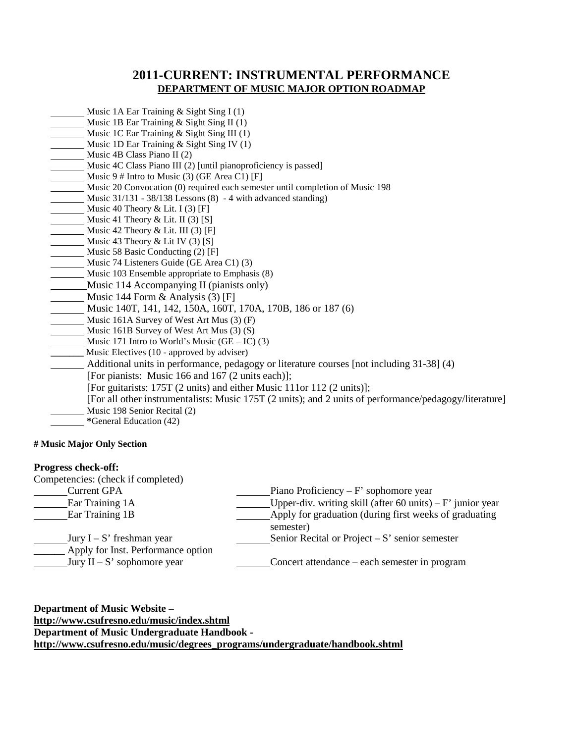# **2011-CURRENT: INSTRUMENTAL PERFORMANCE DEPARTMENT OF MUSIC MAJOR OPTION ROADMAP**

- Music 1A Ear Training & Sight Sing I (1)
- Music 1B Ear Training & Sight Sing II (1)
- Music 1C Ear Training & Sight Sing III (1)
- Music 1D Ear Training & Sight Sing IV (1)
- Music 4B Class Piano II (2)
- Music 4C Class Piano III (2) [until pianoproficiency is passed]
- Music 9 # Intro to Music (3) (GE Area C1) [F]
- Music 20 Convocation (0) required each semester until completion of Music 198
- Music 31/131 38/138 Lessons (8) 4 with advanced standing)
- Music 40 Theory & Lit. I  $(3)$  [F]
- Music 41 Theory & Lit. II (3) [S]
- Music 42 Theory & Lit. III  $(3)$  [F]
- Music 43 Theory  $& Lit IV (3) [S]$
- Music 58 Basic Conducting (2) [F]
- Music 74 Listeners Guide (GE Area C1) (3)
- Music 103 Ensemble appropriate to Emphasis (8)
- Music 114 Accompanying II (pianists only)
- Music 144 Form & Analysis (3) [F]
- Music 140T, 141, 142, 150A, 160T, 170A, 170B, 186 or 187 (6)
- Music 161A Survey of West Art Mus (3) (F)
- Music 161B Survey of West Art Mus (3) (S)
- Music 171 Intro to World's Music  $(GE IC)$  (3)
- **\_\_\_\_\_\_\_** Music Electives (10 approved by adviser)
	- Additional units in performance, pedagogy or literature courses [not including 31-38] (4)
	- [For pianists: Music 166 and 167 (2 units each)];
		- [For guitarists: 175T (2 units) and either Music 111or 112 (2 units)];
		- [For all other instrumentalists: Music 175T (2 units); and 2 units of performance/pedagogy/literature] Music 198 Senior Recital (2)
- **\***General Education (42)

### **# Music Major Only Section**

### **Progress check-off:**

| Competencies: (check if completed)                                |                                                                     |
|-------------------------------------------------------------------|---------------------------------------------------------------------|
| <b>Current GPA</b>                                                | Piano Proficiency – $F'$ sophomore year                             |
| Ear Training 1A                                                   | Upper-div. writing skill (after 60 units) – $F'$ junior year        |
| <b>Ear Training 1B</b>                                            | Apply for graduation (during first weeks of graduating<br>semester) |
| Jury $I - S'$ freshman year<br>Apply for Inst. Performance option | Senior Recital or Project $-S'$ senior semester                     |
| Jury $II - S'$ sophomore year                                     | Concert attendance – each semester in program                       |

**Department of Music Website – <http://www.csufresno.edu/music/index.shtml> Department of Music Undergraduate Handbook http://www.csufresno.edu/music/degrees\_programs/undergraduate/handbook.shtml**